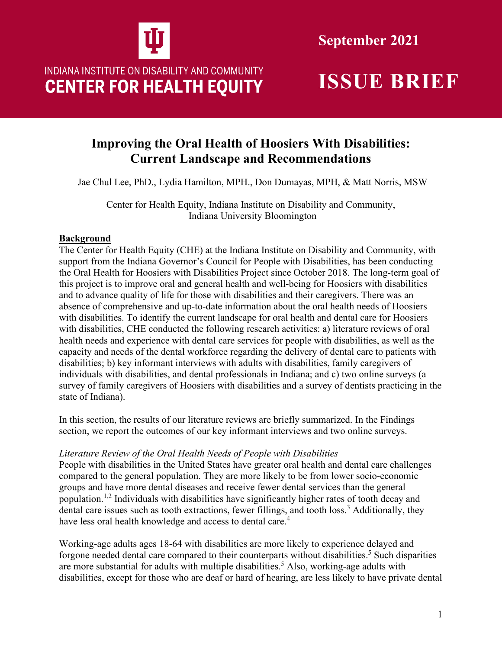

**September 2021**

# INDIANA INSTITUTE ON DISABILITY AND COMMUNITY **CENTER FOR HEALTH EQUITY**

## **Improving the Oral Health of Hoosiers With Disabilities: Current Landscape and Recommendations**

Jae Chul Lee, PhD., Lydia Hamilton, MPH., Don Dumayas, MPH, & Matt Norris, MSW

Center for Health Equity, Indiana Institute on Disability and Community, Indiana University Bloomington

## **Background**

The Center for Health Equity (CHE) at the Indiana Institute on Disability and Community, with support from the Indiana Governor's Council for People with Disabilities, has been conducting the Oral Health for Hoosiers with Disabilities Project since October 2018. The long-term goal of this project is to improve oral and general health and well-being for Hoosiers with disabilities and to advance quality of life for those with disabilities and their caregivers. There was an absence of comprehensive and up-to-date information about the oral health needs of Hoosiers with disabilities. To identify the current landscape for oral health and dental care for Hoosiers with disabilities, CHE conducted the following research activities: a) literature reviews of oral health needs and experience with dental care services for people with disabilities, as well as the capacity and needs of the dental workforce regarding the delivery of dental care to patients with disabilities; b) key informant interviews with adults with disabilities, family caregivers of individuals with disabilities, and dental professionals in Indiana; and c) two online surveys (a survey of family caregivers of Hoosiers with disabilities and a survey of dentists practicing in the state of Indiana).

In this section, the results of our literature reviews are briefly summarized. In the Findings section, we report the outcomes of our key informant interviews and two online surveys.

## *Literature Review of the Oral Health Needs of People with Disabilities*

People with disabilities in the United States have greater oral health and dental care challenges compared to the general population. They are more likely to be from lower socio-economic groups and have more dental diseases and receive fewer dental services than the general population.<sup>1,2</sup> Individuals with disabilities have significantly higher rates of tooth decay and dental care issues such as tooth extractions, fewer fillings, and tooth loss.<sup>3</sup> Additionally, they have less oral health knowledge and access to dental care.<sup>4</sup>

Working-age adults ages 18-64 with disabilities are more likely to experience delayed and forgone needed dental care compared to their counterparts without disabilities.<sup>5</sup> Such disparities are more substantial for adults with multiple disabilities. 5 Also, working-age adults with disabilities, except for those who are deaf or hard of hearing, are less likely to have private dental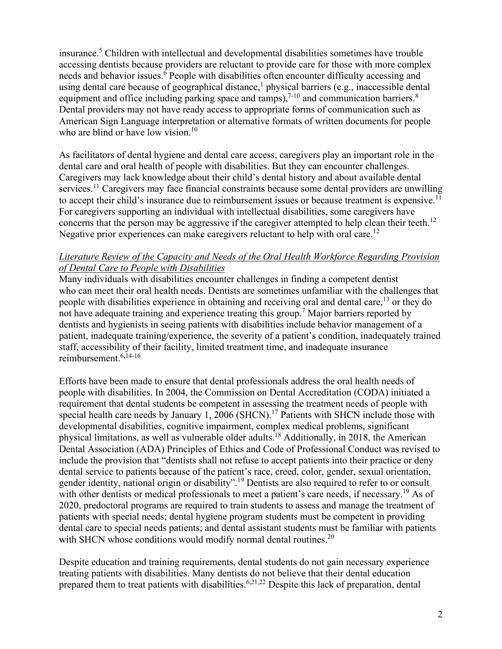insurance.5 Children with intellectual and developmental disabilities sometimes have trouble accessing dentists because providers are reluctant to provide care for those with more complex needs and behavior issues.<sup>6</sup> People with disabilities often encounter difficulty accessing and using dental care because of geographical distance,<sup>1</sup> physical barriers (e.g., inaccessible dental equipment and office including parking space and ramps),  $7-10$  and communication barriers.<sup>8</sup> Dental providers may not have ready access to appropriate forms of communication such as American Sign Language interpretation or alternative formats of written documents for people who are blind or have low vision.<sup>10</sup>

As facilitators of dental hygiene and dental care access, caregivers play an important role in the dental care and oral health of people with disabilities. But they can encounter challenges. Caregivers may lack knowledge about their child's dental history and about available dental services.<sup>11</sup> Caregivers may face financial constraints because some dental providers are unwilling to accept their child's insurance due to reimbursement issues or because treatment is expensive.<sup>11</sup> For caregivers supporting an individual with intellectual disabilities, some caregivers have concerns that the person may be aggressive if the caregiver attempted to help clean their teeth.<sup>12</sup> Negative prior experiences can make caregivers reluctant to help with oral care.<sup>12</sup>

## *Literature Review of the Capacity and Needs of the Oral Health Workforce Regarding Provision of Dental Care to People with Disabilities*

Many individuals with disabilities encounter challenges in finding a competent dentist who can meet their oral health needs. Dentists are sometimes unfamiliar with the challenges that people with disabilities experience in obtaining and receiving oral and dental care,<sup>13</sup> or they do not have adequate training and experience treating this group.<sup>7</sup> Major barriers reported by dentists and hygienists in seeing patients with disabilities include behavior management of a patient, inadequate training/experience, the severity of a patient's condition, inadequately trained staff, accessibility of their facility, limited treatment time, and inadequate insurance reimbursement. 6,14-16

Efforts have been made to ensure that dental professionals address the oral health needs of people with disabilities. In 2004, the Commission on Dental Accreditation (CODA) initiated a requirement that dental students be competent in assessing the treatment needs of people with special health care needs by January 1, 2006 (SHCN).<sup>17</sup> Patients with SHCN include those with developmental disabilities, cognitive impairment, complex medical problems, significant physical limitations, as well as vulnerable older adults.<sup>18</sup> Additionally, in 2018, the American Dental Association (ADA) Principles of Ethics and Code of Professional Conduct was revised to include the provision that "dentists shall not refuse to accept patients into their practice or deny dental service to patients because of the patient's race, creed, color, gender, sexual orientation, gender identity, national origin or disability".19 Dentists are also required to refer to or consult with other dentists or medical professionals to meet a patient's care needs, if necessary.<sup>19</sup> As of 2020, predoctoral programs are required to train students to assess and manage the treatment of patients with special needs; dental hygiene program students must be competent in providing dental care to special needs patients; and dental assistant students must be familiar with patients with SHCN whose conditions would modify normal dental routines.<sup>20</sup>

Despite education and training requirements, dental students do not gain necessary experience treating patients with disabilities. Many dentists do not believe that their dental education prepared them to treat patients with disabilities.<sup>6,21,22</sup> Despite this lack of preparation, dental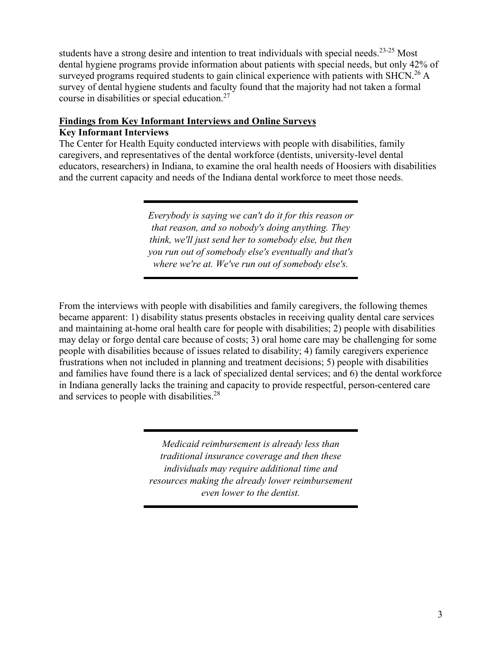students have a strong desire and intention to treat individuals with special needs.<sup>23-25</sup> Most dental hygiene programs provide information about patients with special needs, but only 42% of surveyed programs required students to gain clinical experience with patients with SHCN.<sup>26</sup> A survey of dental hygiene students and faculty found that the majority had not taken a formal course in disabilities or special education.27

## **Findings from Key Informant Interviews and Online Surveys**

## **Key Informant Interviews**

The Center for Health Equity conducted interviews with people with disabilities, family caregivers, and representatives of the dental workforce (dentists, university-level dental educators, researchers) in Indiana, to examine the oral health needs of Hoosiers with disabilities and the current capacity and needs of the Indiana dental workforce to meet those needs.

> *Everybody is saying we can't do it for this reason or that reason, and so nobody's doing anything. They think, we'll just send her to somebody else, but then you run out of somebody else's eventually and that's where we're at. We've run out of somebody else's.*

From the interviews with people with disabilities and family caregivers, the following themes became apparent: 1) disability status presents obstacles in receiving quality dental care services and maintaining at-home oral health care for people with disabilities; 2) people with disabilities may delay or forgo dental care because of costs; 3) oral home care may be challenging for some people with disabilities because of issues related to disability; 4) family caregivers experience frustrations when not included in planning and treatment decisions; 5) people with disabilities and families have found there is a lack of specialized dental services; and 6) the dental workforce in Indiana generally lacks the training and capacity to provide respectful, person-centered care and services to people with disabilities.<sup>28</sup>

> *Medicaid reimbursement is already less than traditional insurance coverage and then these individuals may require additional time and resources making the already lower reimbursement even lower to the dentist.*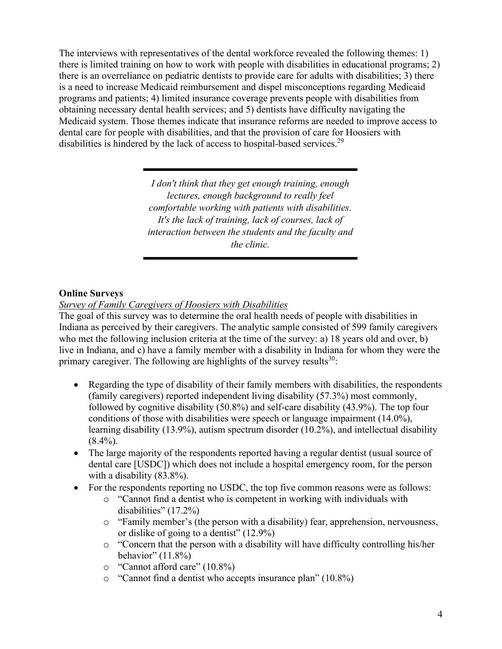The interviews with representatives of the dental workforce revealed the following themes: 1) there is limited training on how to work with people with disabilities in educational programs; 2) there is an overreliance on pediatric dentists to provide care for adults with disabilities; 3) there is a need to increase Medicaid reimbursement and dispel misconceptions regarding Medicaid programs and patients; 4) limited insurance coverage prevents people with disabilities from obtaining necessary dental health services; and 5) dentists have difficulty navigating the Medicaid system. Those themes indicate that insurance reforms are needed to improve access to dental care for people with disabilities, and that the provision of care for Hoosiers with disabilities is hindered by the lack of access to hospital-based services.<sup>29</sup>

> *I don't think that they get enough training, enough lectures, enough background to really feel comfortable working with patients with disabilities. It's the lack of training, lack of courses, lack of interaction between the students and the faculty and the clinic.*

### **Online Surveys**

### *Survey of Family Caregivers of Hoosiers with Disabilities*

The goal of this survey was to determine the oral health needs of people with disabilities in Indiana as perceived by their caregivers. The analytic sample consisted of 599 family caregivers who met the following inclusion criteria at the time of the survey: a) 18 years old and over, b) live in Indiana, and c) have a family member with a disability in Indiana for whom they were the primary caregiver. The following are highlights of the survey results  $30$ :

- Regarding the type of disability of their family members with disabilities, the respondents (family caregivers) reported independent living disability (57.3%) most commonly, followed by cognitive disability (50.8%) and self-care disability (43.9%). The top four conditions of those with disabilities were speech or language impairment (14.0%), learning disability (13.9%), autism spectrum disorder (10.2%), and intellectual disability  $(8.4\%)$ .
- The large majority of the respondents reported having a regular dentist (usual source of dental care [USDC]) which does not include a hospital emergency room, for the person with a disability (83.8%).
- For the respondents reporting no USDC, the top five common reasons were as follows:
	- o "Cannot find a dentist who is competent in working with individuals with disabilities" (17.2%)
	- $\circ$  "Family member's (the person with a disability) fear, apprehension, nervousness, or dislike of going to a dentist" (12.9%)
	- o "Concern that the person with a disability will have difficulty controlling his/her behavior"  $(11.8\%)$
	- o "Cannot afford care" (10.8%)
	- o "Cannot find a dentist who accepts insurance plan" (10.8%)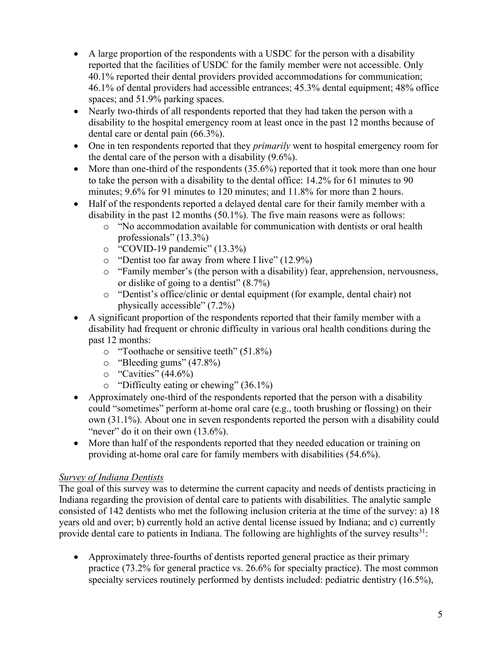- A large proportion of the respondents with a USDC for the person with a disability reported that the facilities of USDC for the family member were not accessible. Only 40.1% reported their dental providers provided accommodations for communication; 46.1% of dental providers had accessible entrances; 45.3% dental equipment; 48% office spaces; and 51.9% parking spaces.
- Nearly two-thirds of all respondents reported that they had taken the person with a disability to the hospital emergency room at least once in the past 12 months because of dental care or dental pain (66.3%).
- One in ten respondents reported that they *primarily* went to hospital emergency room for the dental care of the person with a disability (9.6%).
- More than one-third of the respondents  $(35.6%)$  reported that it took more than one hour to take the person with a disability to the dental office: 14.2% for 61 minutes to 90 minutes; 9.6% for 91 minutes to 120 minutes; and 11.8% for more than 2 hours.
- Half of the respondents reported a delayed dental care for their family member with a disability in the past 12 months (50.1%). The five main reasons were as follows:
	- o "No accommodation available for communication with dentists or oral health professionals" (13.3%)
	- o "COVID-19 pandemic" (13.3%)
	- o "Dentist too far away from where I live" (12.9%)
	- o "Family member's (the person with a disability) fear, apprehension, nervousness, or dislike of going to a dentist" (8.7%)
	- o "Dentist's office/clinic or dental equipment (for example, dental chair) not physically accessible" (7.2%)
- A significant proportion of the respondents reported that their family member with a disability had frequent or chronic difficulty in various oral health conditions during the past 12 months:
	- o "Toothache or sensitive teeth" (51.8%)
	- $\degree$  "Bleeding gums" (47.8%)
	- $\degree$  "Cavities" (44.6%)
	- o "Difficulty eating or chewing" (36.1%)
- Approximately one-third of the respondents reported that the person with a disability could "sometimes" perform at-home oral care (e.g., tooth brushing or flossing) on their own (31.1%). About one in seven respondents reported the person with a disability could "never" do it on their own  $(13.6\%)$ .
- More than half of the respondents reported that they needed education or training on providing at-home oral care for family members with disabilities (54.6%).

## *Survey of Indiana Dentists*

The goal of this survey was to determine the current capacity and needs of dentists practicing in Indiana regarding the provision of dental care to patients with disabilities. The analytic sample consisted of 142 dentists who met the following inclusion criteria at the time of the survey: a) 18 years old and over; b) currently hold an active dental license issued by Indiana; and c) currently provide dental care to patients in Indiana. The following are highlights of the survey results<sup>31</sup>:

• Approximately three-fourths of dentists reported general practice as their primary practice (73.2% for general practice vs. 26.6% for specialty practice). The most common specialty services routinely performed by dentists included: pediatric dentistry (16.5%),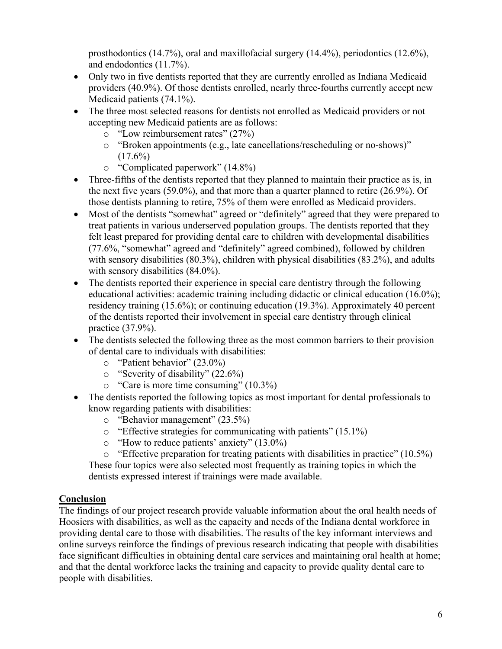prosthodontics (14.7%), oral and maxillofacial surgery (14.4%), periodontics (12.6%), and endodontics (11.7%).

- Only two in five dentists reported that they are currently enrolled as Indiana Medicaid providers (40.9%). Of those dentists enrolled, nearly three-fourths currently accept new Medicaid patients (74.1%).
- The three most selected reasons for dentists not enrolled as Medicaid providers or not accepting new Medicaid patients are as follows:
	- o "Low reimbursement rates" (27%)
	- o "Broken appointments (e.g., late cancellations/rescheduling or no-shows)"  $(17.6\%)$
	- o "Complicated paperwork" (14.8%)
- Three-fifths of the dentists reported that they planned to maintain their practice as is, in the next five years (59.0%), and that more than a quarter planned to retire (26.9%). Of those dentists planning to retire, 75% of them were enrolled as Medicaid providers.
- Most of the dentists "somewhat" agreed or "definitely" agreed that they were prepared to treat patients in various underserved population groups. The dentists reported that they felt least prepared for providing dental care to children with developmental disabilities (77.6%, "somewhat" agreed and "definitely" agreed combined), followed by children with sensory disabilities (80.3%), children with physical disabilities (83.2%), and adults with sensory disabilities  $(84.0\%)$ .
- The dentists reported their experience in special care dentistry through the following educational activities: academic training including didactic or clinical education (16.0%); residency training (15.6%); or continuing education (19.3%). Approximately 40 percent of the dentists reported their involvement in special care dentistry through clinical practice (37.9%).
- The dentists selected the following three as the most common barriers to their provision of dental care to individuals with disabilities:
	- o "Patient behavior" (23.0%)
	- o "Severity of disability" (22.6%)
	- o "Care is more time consuming" (10.3%)
- The dentists reported the following topics as most important for dental professionals to know regarding patients with disabilities:
	- o "Behavior management" (23.5%)
	- o "Effective strategies for communicating with patients" (15.1%)
	- o "How to reduce patients' anxiety" (13.0%)
	- o "Effective preparation for treating patients with disabilities in practice" (10.5%)

These four topics were also selected most frequently as training topics in which the dentists expressed interest if trainings were made available.

## **Conclusion**

The findings of our project research provide valuable information about the oral health needs of Hoosiers with disabilities, as well as the capacity and needs of the Indiana dental workforce in providing dental care to those with disabilities. The results of the key informant interviews and online surveys reinforce the findings of previous research indicating that people with disabilities face significant difficulties in obtaining dental care services and maintaining oral health at home; and that the dental workforce lacks the training and capacity to provide quality dental care to people with disabilities.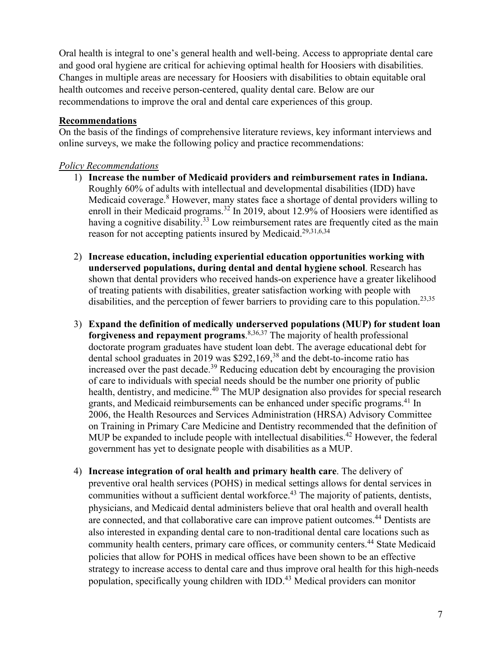Oral health is integral to one's general health and well-being. Access to appropriate dental care and good oral hygiene are critical for achieving optimal health for Hoosiers with disabilities. Changes in multiple areas are necessary for Hoosiers with disabilities to obtain equitable oral health outcomes and receive person-centered, quality dental care. Below are our recommendations to improve the oral and dental care experiences of this group.

### **Recommendations**

On the basis of the findings of comprehensive literature reviews, key informant interviews and online surveys, we make the following policy and practice recommendations:

### *Policy Recommendations*

- 1) **Increase the number of Medicaid providers and reimbursement rates in Indiana.** Roughly 60% of adults with intellectual and developmental disabilities (IDD) have Medicaid coverage.<sup>8</sup> However, many states face a shortage of dental providers willing to enroll in their Medicaid programs.<sup>32</sup> In 2019, about 12.9% of Hoosiers were identified as having a cognitive disability.<sup>33</sup> Low reimbursement rates are frequently cited as the main reason for not accepting patients insured by Medicaid.<sup>29,31,6,34</sup>
- 2) **Increase education, including experiential education opportunities working with underserved populations, during dental and dental hygiene school**. Research has shown that dental providers who received hands-on experience have a greater likelihood of treating patients with disabilities, greater satisfaction working with people with disabilities, and the perception of fewer barriers to providing care to this population.<sup>23,35</sup>
- 3) **Expand the definition of medically underserved populations (MUP) for student loan forgiveness and repayment programs**. 8,36,37 The majority of health professional doctorate program graduates have student loan debt. The average educational debt for dental school graduates in 2019 was  $$292,169<sup>38</sup>$  and the debt-to-income ratio has increased over the past decade.<sup>39</sup> Reducing education debt by encouraging the provision of care to individuals with special needs should be the number one priority of public health, dentistry, and medicine.<sup>40</sup> The MUP designation also provides for special research grants, and Medicaid reimbursements can be enhanced under specific programs.<sup>41</sup> In 2006, the Health Resources and Services Administration (HRSA) Advisory Committee on Training in Primary Care Medicine and Dentistry recommended that the definition of MUP be expanded to include people with intellectual disabilities.<sup>42</sup> However, the federal government has yet to designate people with disabilities as a MUP.
- 4) **Increase integration of oral health and primary health care**. The delivery of preventive oral health services (POHS) in medical settings allows for dental services in communities without a sufficient dental workforce.<sup>43</sup> The majority of patients, dentists, physicians, and Medicaid dental administers believe that oral health and overall health are connected, and that collaborative care can improve patient outcomes.<sup>44</sup> Dentists are also interested in expanding dental care to non-traditional dental care locations such as community health centers, primary care offices, or community centers.<sup>44</sup> State Medicaid policies that allow for POHS in medical offices have been shown to be an effective strategy to increase access to dental care and thus improve oral health for this high-needs population, specifically young children with IDD.<sup>43</sup> Medical providers can monitor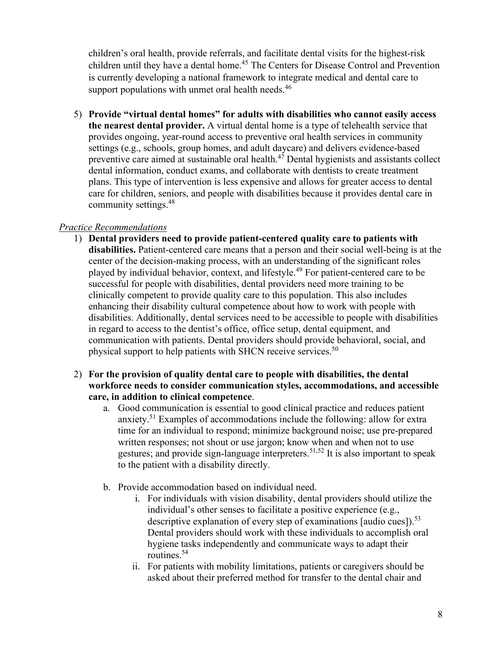children's oral health, provide referrals, and facilitate dental visits for the highest-risk children until they have a dental home.<sup>45</sup> The Centers for Disease Control and Prevention is currently developing a national framework to integrate medical and dental care to support populations with unmet oral health needs.<sup>46</sup>

5) **Provide "virtual dental homes" for adults with disabilities who cannot easily access the nearest dental provider.** A virtual dental home is a type of telehealth service that provides ongoing, year-round access to preventive oral health services in community settings (e.g., schools, group homes, and adult daycare) and delivers evidence-based preventive care aimed at sustainable oral health.<sup>47</sup> Dental hygienists and assistants collect dental information, conduct exams, and collaborate with dentists to create treatment plans. This type of intervention is less expensive and allows for greater access to dental care for children, seniors, and people with disabilities because it provides dental care in community settings.48

## *Practice Recommendations*

- 1) **Dental providers need to provide patient-centered quality care to patients with disabilities.** Patient-centered care means that a person and their social well-being is at the center of the decision-making process, with an understanding of the significant roles played by individual behavior, context, and lifestyle. 49 For patient-centered care to be successful for people with disabilities, dental providers need more training to be clinically competent to provide quality care to this population. This also includes enhancing their disability cultural competence about how to work with people with disabilities. Additionally, dental services need to be accessible to people with disabilities in regard to access to the dentist's office, office setup, dental equipment, and communication with patients. Dental providers should provide behavioral, social, and physical support to help patients with SHCN receive services.<sup>50</sup>
- 2) **For the provision of quality dental care to people with disabilities, the dental workforce needs to consider communication styles, accommodations, and accessible care, in addition to clinical competence**.
	- a. Good communication is essential to good clinical practice and reduces patient anxiety.51 Examples of accommodations include the following: allow for extra time for an individual to respond; minimize background noise; use pre-prepared written responses; not shout or use jargon; know when and when not to use gestures; and provide sign-language interpreters.<sup>51,52</sup> It is also important to speak to the patient with a disability directly.
	- b. Provide accommodation based on individual need.
		- i. For individuals with vision disability, dental providers should utilize the individual's other senses to facilitate a positive experience (e.g., descriptive explanation of every step of examinations [audio cues]).<sup>53</sup> Dental providers should work with these individuals to accomplish oral hygiene tasks independently and communicate ways to adapt their routines.54
		- ii. For patients with mobility limitations, patients or caregivers should be asked about their preferred method for transfer to the dental chair and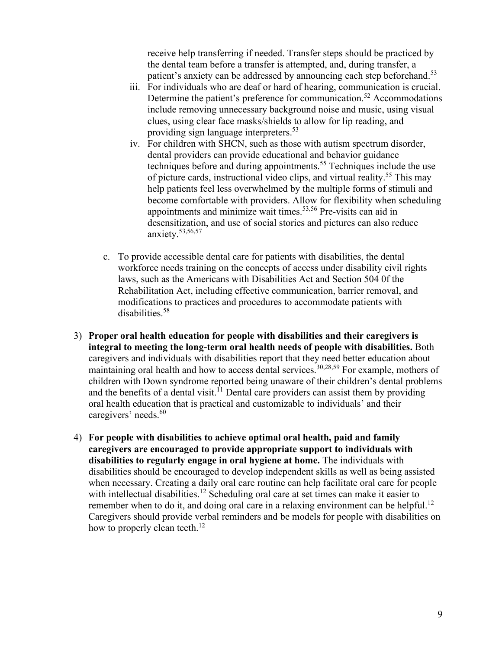receive help transferring if needed. Transfer steps should be practiced by the dental team before a transfer is attempted, and, during transfer, a patient's anxiety can be addressed by announcing each step beforehand.<sup>53</sup>

- iii. For individuals who are deaf or hard of hearing, communication is crucial. Determine the patient's preference for communication.<sup>52</sup> Accommodations include removing unnecessary background noise and music, using visual clues, using clear face masks/shields to allow for lip reading, and providing sign language interpreters.53
- iv. For children with SHCN, such as those with autism spectrum disorder, dental providers can provide educational and behavior guidance techniques before and during appointments.<sup>55</sup> Techniques include the use of picture cards, instructional video clips, and virtual reality.55 This may help patients feel less overwhelmed by the multiple forms of stimuli and become comfortable with providers. Allow for flexibility when scheduling appointments and minimize wait times.<sup>53,56</sup> Pre-visits can aid in desensitization, and use of social stories and pictures can also reduce anxiety. 53,56,57
- c. To provide accessible dental care for patients with disabilities, the dental workforce needs training on the concepts of access under disability civil rights laws, such as the Americans with Disabilities Act and Section 504 0f the Rehabilitation Act, including effective communication, barrier removal, and modifications to practices and procedures to accommodate patients with disabilities.58
- 3) **Proper oral health education for people with disabilities and their caregivers is integral to meeting the long-term oral health needs of people with disabilities.** Both caregivers and individuals with disabilities report that they need better education about maintaining oral health and how to access dental services.<sup>30,28,59</sup> For example, mothers of children with Down syndrome reported being unaware of their children's dental problems and the benefits of a dental visit.<sup>11</sup> Dental care providers can assist them by providing oral health education that is practical and customizable to individuals' and their caregivers' needs.<sup>60</sup>
- 4) **For people with disabilities to achieve optimal oral health, paid and family caregivers are encouraged to provide appropriate support to individuals with disabilities to regularly engage in oral hygiene at home.** The individuals with disabilities should be encouraged to develop independent skills as well as being assisted when necessary. Creating a daily oral care routine can help facilitate oral care for people with intellectual disabilities.<sup>12</sup> Scheduling oral care at set times can make it easier to remember when to do it, and doing oral care in a relaxing environment can be helpful.<sup>12</sup> Caregivers should provide verbal reminders and be models for people with disabilities on how to properly clean teeth.<sup>12</sup>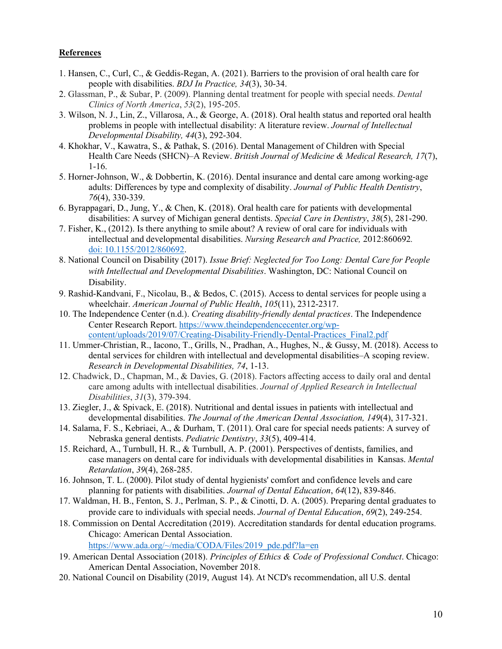#### **References**

- 1. Hansen, C., Curl, C., & Geddis-Regan, A. (2021). Barriers to the provision of oral health care for people with disabilities. *BDJ In Practice, 34*(3), 30-34.
- 2. Glassman, P., & Subar, P. (2009). Planning dental treatment for people with special needs. *Dental Clinics of North America*, *53*(2), 195-205.
- 3. Wilson, N. J., Lin, Z., Villarosa, A., & George, A. (2018). Oral health status and reported oral health problems in people with intellectual disability: A literature review. *Journal of Intellectual Developmental Disability, 44*(3), 292-304.
- 4. Khokhar, V., Kawatra, S., & Pathak, S. (2016). Dental Management of Children with Special Health Care Needs (SHCN)–A Review. *British Journal of Medicine & Medical Research, 17*(7), 1-16.
- 5. Horner-Johnson, W., & Dobbertin, K. (2016). Dental insurance and dental care among working-age adults: Differences by type and complexity of disability. *Journal of Public Health Dentistry*, *76*(4), 330-339.
- 6. Byrappagari, D., Jung, Y., & Chen, K. (2018). Oral health care for patients with developmental disabilities: A survey of Michigan general dentists. *Special Care in Dentistry*, *38*(5), 281-290.
- 7. Fisher, K., (2012). Is there anything to smile about? A review of oral care for individuals with intellectual and developmental disabilities. *Nursing Research and Practice,* 2012:860692*.* doi: [10.1155/2012/860692.](https://dx.doi.org/10.1155%2F2012%2F860692)
- 8. National Council on Disability (2017). *Issue Brief: Neglected for Too Long: Dental Care for People with Intellectual and Developmental Disabilities*. Washington, DC: National Council on Disability.
- 9. Rashid-Kandvani, F., Nicolau, B., & Bedos, C. (2015). Access to dental services for people using a wheelchair. *American Journal of Public Health*, *105*(11), 2312-2317.
- 10. The Independence Center (n.d.). *Creating disability-friendly dental practices*. The Independence Center Research Report[. https://www.theindependencecenter.org/wp](https://www.theindependencecenter.org/wp-content/uploads/2019/07/Creating-Disability-Friendly-Dental-Practices_Final2.pdf)[content/uploads/2019/07/Creating-Disability-Friendly-Dental-Practices\\_Final2.pdf](https://www.theindependencecenter.org/wp-content/uploads/2019/07/Creating-Disability-Friendly-Dental-Practices_Final2.pdf)
- 11. Ummer-Christian, R., Iacono, T., Grills, N., Pradhan, A., Hughes, N., & Gussy, M. (2018). Access to dental services for children with intellectual and developmental disabilities–A scoping review. *Research in Developmental Disabilities, 74*, 1-13.
- 12. Chadwick, D., Chapman, M., & Davies, G. (2018). Factors affecting access to daily oral and dental care among adults with intellectual disabilities. *Journal of Applied Research in Intellectual Disabilities*, *31*(3), 379-394.
- 13. Ziegler, J., & Spivack, E. (2018). Nutritional and dental issues in patients with intellectual and developmental disabilities. *The Journal of the American Dental Association, 149*(4), 317-321.
- 14. Salama, F. S., Kebriaei, A., & Durham, T. (2011). Oral care for special needs patients: A survey of Nebraska general dentists. *Pediatric Dentistry*, *33*(5), 409-414.
- 15. Reichard, A., Turnbull, H. R., & Turnbull, A. P. (2001). Perspectives of dentists, families, and case managers on dental care for individuals with developmental disabilities in Kansas. *Mental Retardation*, *39*(4), 268-285.
- 16. Johnson, T. L. (2000). Pilot study of dental hygienists' comfort and confidence levels and care planning for patients with disabilities. *Journal of Dental Education*, *64*(12), 839-846.
- 17. Waldman, H. B., Fenton, S. J., Perlman, S. P., & Cinotti, D. A. (2005). Preparing dental graduates to provide care to individuals with special needs. *Journal of Dental Education*, *69*(2), 249-254.
- 18. Commission on Dental Accreditation (2019). Accreditation standards for dental education programs. Chicago: American Dental Association.

[https://www.ada.org/~/media/CODA/Files/2019\\_pde.pdf?la=en](https://www.ada.org/%7E/media/CODA/Files/2019_pde.pdf?la=en)

- 19. American Dental Association (2018). *Principles of Ethics & Code of Professional Conduct*. Chicago: American Dental Association, November 2018.
- 20. National Council on Disability (2019, August 14). At NCD's recommendation, all U.S. dental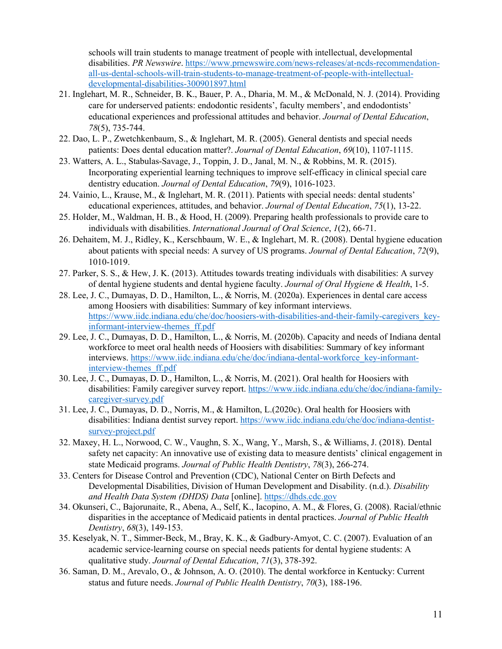schools will train students to manage treatment of people with intellectual, developmental disabilities. *PR Newswire*. [https://www.prnewswire.com/news-releases/at-ncds-recommendation](https://www.prnewswire.com/news-releases/at-ncds-recommendation-all-us-dental-schools-will-train-students-to-manage-treatment-of-people-with-intellectual-developmental-disabilities-300901897.html)[all-us-dental-schools-will-train-students-to-manage-treatment-of-people-with-intellectual](https://www.prnewswire.com/news-releases/at-ncds-recommendation-all-us-dental-schools-will-train-students-to-manage-treatment-of-people-with-intellectual-developmental-disabilities-300901897.html)[developmental-disabilities-300901897.html](https://www.prnewswire.com/news-releases/at-ncds-recommendation-all-us-dental-schools-will-train-students-to-manage-treatment-of-people-with-intellectual-developmental-disabilities-300901897.html)

- 21. Inglehart, M. R., Schneider, B. K., Bauer, P. A., Dharia, M. M., & McDonald, N. J. (2014). Providing care for underserved patients: endodontic residents', faculty members', and endodontists' educational experiences and professional attitudes and behavior. *Journal of Dental Education*, *78*(5), 735-744.
- 22. Dao, L. P., Zwetchkenbaum, S., & Inglehart, M. R. (2005). General dentists and special needs patients: Does dental education matter?. *Journal of Dental Education*, *69*(10), 1107-1115.
- 23. Watters, A. L., Stabulas-Savage, J., Toppin, J. D., Janal, M. N., & Robbins, M. R. (2015). Incorporating experiential learning techniques to improve self-efficacy in clinical special care dentistry education. *Journal of Dental Education*, *79*(9), 1016-1023.
- 24. Vainio, L., Krause, M., & Inglehart, M. R. (2011). Patients with special needs: dental students' educational experiences, attitudes, and behavior. *Journal of Dental Education*, *75*(1), 13-22.
- 25. Holder, M., Waldman, H. B., & Hood, H. (2009). Preparing health professionals to provide care to individuals with disabilities. *International Journal of Oral Science*, *1*(2), 66-71.
- 26. Dehaitem, M. J., Ridley, K., Kerschbaum, W. E., & Inglehart, M. R. (2008). Dental hygiene education about patients with special needs: A survey of US programs. *Journal of Dental Education*, *72*(9), 1010-1019.
- 27. Parker, S. S., & Hew, J. K. (2013). Attitudes towards treating individuals with disabilities: A survey of dental hygiene students and dental hygiene faculty. *Journal of Oral Hygiene & Health*, 1-5.
- 28. Lee, J. C., Dumayas, D. D., Hamilton, L., & Norris, M. (2020a). Experiences in dental care access among Hoosiers with disabilities: Summary of key informant interviews. [https://www.iidc.indiana.edu/che/doc/hoosiers-with-disabilities-and-their-family-caregivers\\_key](https://www.iidc.indiana.edu/che/doc/hoosiers-with-disabilities-and-their-family-caregivers_key-informant-interview-themes_ff.pdf)[informant-interview-themes\\_ff.pdf](https://www.iidc.indiana.edu/che/doc/hoosiers-with-disabilities-and-their-family-caregivers_key-informant-interview-themes_ff.pdf)
- 29. Lee, J. C., Dumayas, D. D., Hamilton, L., & Norris, M. (2020b). Capacity and needs of Indiana dental workforce to meet oral health needs of Hoosiers with disabilities: Summary of key informant interviews. [https://www.iidc.indiana.edu/che/doc/indiana-dental-workforce\\_key-informant](https://www.iidc.indiana.edu/che/doc/indiana-dental-workforce_key-informant-interview-themes_ff.pdf)[interview-themes\\_ff.pdf](https://www.iidc.indiana.edu/che/doc/indiana-dental-workforce_key-informant-interview-themes_ff.pdf)
- 30. Lee, J. C., Dumayas, D. D., Hamilton, L., & Norris, M. (2021). Oral health for Hoosiers with disabilities: Family caregiver survey report. [https://www.iidc.indiana.edu/che/doc/indiana-family](https://www.iidc.indiana.edu/che/doc/indiana-family-caregiver-survey.pdf)[caregiver-survey.pdf](https://www.iidc.indiana.edu/che/doc/indiana-family-caregiver-survey.pdf)
- 31. Lee, J. C., Dumayas, D. D., Norris, M., & Hamilton, L.(2020c). Oral health for Hoosiers with disabilities: Indiana dentist survey report. [https://www.iidc.indiana.edu/che/doc/indiana-dentist](https://www.iidc.indiana.edu/che/doc/indiana-dentist-survey-project.pdf)[survey-project.pdf](https://www.iidc.indiana.edu/che/doc/indiana-dentist-survey-project.pdf)
- 32. Maxey, H. L., Norwood, C. W., Vaughn, S. X., Wang, Y., Marsh, S., & Williams, J. (2018). Dental safety net capacity: An innovative use of existing data to measure dentists' clinical engagement in state Medicaid programs. *Journal of Public Health Dentistry*, *78*(3), 266-274.
- 33. Centers for Disease Control and Prevention (CDC), National Center on Birth Defects and Developmental Disabilities, Division of Human Development and Disability. (n.d.). *Disability and Health Data System (DHDS) Data* [online]. [https://dhds.cdc.gov](https://dhds.cdc.gov/)
- 34. Okunseri, C., Bajorunaite, R., Abena, A., Self, K., Iacopino, A. M., & Flores, G. (2008). Racial/ethnic disparities in the acceptance of Medicaid patients in dental practices. *Journal of Public Health Dentistry*, *68*(3), 149-153.
- 35. Keselyak, N. T., Simmer‐Beck, M., Bray, K. K., & Gadbury‐Amyot, C. C. (2007). Evaluation of an academic service‐learning course on special needs patients for dental hygiene students: A qualitative study. *Journal of Dental Education*, *71*(3), 378-392.
- 36. Saman, D. M., Arevalo, O., & Johnson, A. O. (2010). The dental workforce in Kentucky: Current status and future needs. *Journal of Public Health Dentistry*, *70*(3), 188-196.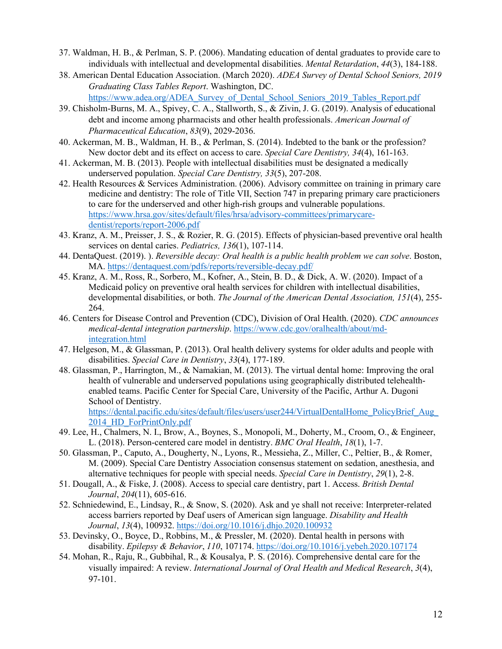- 37. Waldman, H. B., & Perlman, S. P. (2006). Mandating education of dental graduates to provide care to individuals with intellectual and developmental disabilities. *Mental Retardation*, *44*(3), 184-188.
- 38. American Dental Education Association. (March 2020). *ADEA Survey of Dental School Seniors, 2019 Graduating Class Tables Report*. Washington, DC. [https://www.adea.org/ADEA\\_Survey\\_of\\_Dental\\_School\\_Seniors\\_2019\\_Tables\\_Report.pdf](https://www.adea.org/ADEA_Survey_of_Dental_School_Seniors_2019_Tables_Report.pdf)
- 39. Chisholm-Burns, M. A., Spivey, C. A., Stallworth, S., & Zivin, J. G. (2019). Analysis of educational debt and income among pharmacists and other health professionals. *American Journal of Pharmaceutical Education*, *83*(9), 2029-2036.
- 40. Ackerman, M. B., Waldman, H. B., & Perlman, S. (2014). Indebted to the bank or the profession? New doctor debt and its effect on access to care. *Special Care Dentistry, 34*(4), 161-163.
- 41. Ackerman, M. B. (2013). People with intellectual disabilities must be designated a medically underserved population. *Special Care Dentistry, 33*(5), 207-208.
- 42. Health Resources & Services Administration. (2006). Advisory committee on training in primary care medicine and dentistry: The role of Title VII, Section 747 in preparing primary care practicioners to care for the underserved and other high-rish groups and vulnerable populations. [https://www.hrsa.gov/sites/default/files/hrsa/advisory-committees/primarycare](https://www.hrsa.gov/sites/default/files/hrsa/advisory-committees/primarycare-dentist/reports/report-2006.pdf)[dentist/reports/report-2006.pdf](https://www.hrsa.gov/sites/default/files/hrsa/advisory-committees/primarycare-dentist/reports/report-2006.pdf)
- 43. Kranz, A. M., Preisser, J. S., & Rozier, R. G. (2015). Effects of physician-based preventive oral health services on dental caries. *Pediatrics, 136*(1), 107-114.
- 44. DentaQuest. (2019). ). *Reversible decay: Oral health is a public health problem we can solve*. Boston, MA.<https://dentaquest.com/pdfs/reports/reversible-decay.pdf/>
- 45. Kranz, A. M., Ross, R., Sorbero, M., Kofner, A., Stein, B. D., & Dick, A. W. (2020). Impact of a Medicaid policy on preventive oral health services for children with intellectual disabilities, developmental disabilities, or both. *The Journal of the American Dental Association, 151*(4), 255- 264.
- 46. Centers for Disease Control and Prevention (CDC), Division of Oral Health. (2020). *CDC announces medical-dental integration partnership*. [https://www.cdc.gov/oralhealth/about/md](https://www.cdc.gov/oralhealth/about/md-integration.html)[integration.html](https://www.cdc.gov/oralhealth/about/md-integration.html)
- 47. Helgeson, M., & Glassman, P. (2013). Oral health delivery systems for older adults and people with disabilities. *Special Care in Dentistry*, *33*(4), 177-189.
- 48. Glassman, P., Harrington, M., & Namakian, M. (2013). The virtual dental home: Improving the oral health of vulnerable and underserved populations using geographically distributed telehealthenabled teams. Pacific Center for Special Care, University of the Pacific, Arthur A. Dugoni School of Dentistry.

https://dental.pacific.edu/sites/default/files/users/user244/VirtualDentalHome\_PolicyBrief\_Aug [2014\\_HD\\_ForPrintOnly.pdf](https://dental.pacific.edu/sites/default/files/users/user244/VirtualDentalHome_PolicyBrief_Aug_2014_HD_ForPrintOnly.pdf)

- 49. Lee, H., Chalmers, N. I., Brow, A., Boynes, S., Monopoli, M., Doherty, M., Croom, O., & Engineer, L. (2018). Person-centered care model in dentistry. *BMC Oral Health*, *18*(1), 1-7.
- 50. Glassman, P., Caputo, A., Dougherty, N., Lyons, R., Messieha, Z., Miller, C., Peltier, B., & Romer, M. (2009). Special Care Dentistry Association consensus statement on sedation, anesthesia, and alternative techniques for people with special needs. *Special Care in Dentistry*, *29*(1), 2-8.
- 51. Dougall, A., & Fiske, J. (2008). Access to special care dentistry, part 1. Access. *British Dental Journal*, *204*(11), 605-616.
- 52. Schniedewind, E., Lindsay, R., & Snow, S. (2020). Ask and ye shall not receive: Interpreter-related access barriers reported by Deaf users of American sign language. *Disability and Health Journal*, *13*(4), 100932.<https://doi.org/10.1016/j.dhjo.2020.100932>
- 53. Devinsky, O., Boyce, D., Robbins, M., & Pressler, M. (2020). Dental health in persons with disability. *Epilepsy & Behavior*, *110*, 107174[. https://doi.org/10.1016/j.yebeh.2020.107174](https://doi.org/10.1016/j.yebeh.2020.107174)
- 54. Mohan, R., Raju, R., Gubbihal, R., & Kousalya, P. S. (2016). Comprehensive dental care for the visually impaired: A review. *International Journal of Oral Health and Medical Research*, *3*(4), 97-101.